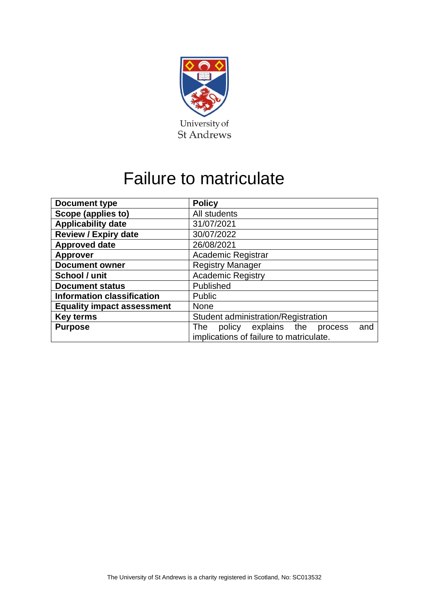

# Failure to matriculate

| <b>Document type</b>              | <b>Policy</b>                                       |  |  |  |
|-----------------------------------|-----------------------------------------------------|--|--|--|
| Scope (applies to)                | All students                                        |  |  |  |
| <b>Applicability date</b>         | 31/07/2021                                          |  |  |  |
| <b>Review / Expiry date</b>       | 30/07/2022                                          |  |  |  |
| <b>Approved date</b>              | 26/08/2021                                          |  |  |  |
| <b>Approver</b>                   | Academic Registrar                                  |  |  |  |
| <b>Document owner</b>             | <b>Registry Manager</b>                             |  |  |  |
| School / unit                     | <b>Academic Registry</b>                            |  |  |  |
| <b>Document status</b>            | Published                                           |  |  |  |
| <b>Information classification</b> | <b>Public</b>                                       |  |  |  |
| <b>Equality impact assessment</b> | <b>None</b>                                         |  |  |  |
| <b>Key terms</b>                  | Student administration/Registration                 |  |  |  |
| <b>Purpose</b>                    | policy explains the<br><b>The</b><br>and<br>process |  |  |  |
|                                   | implications of failure to matriculate.             |  |  |  |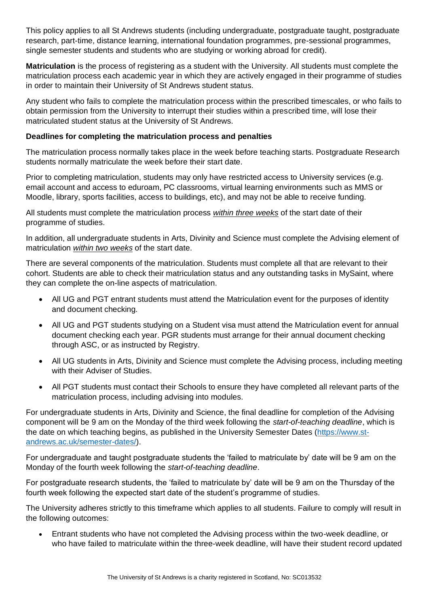This policy applies to all St Andrews students (including undergraduate, postgraduate taught, postgraduate research, part-time, distance learning, international foundation programmes, pre-sessional programmes, single semester students and students who are studying or working abroad for credit).

**Matriculation** is the process of registering as a student with the University. All students must complete the matriculation process each academic year in which they are actively engaged in their programme of studies in order to maintain their University of St Andrews student status.

Any student who fails to complete the matriculation process within the prescribed timescales, or who fails to obtain permission from the University to interrupt their studies within a prescribed time, will lose their matriculated student status at the University of St Andrews.

## **Deadlines for completing the matriculation process and penalties**

The matriculation process normally takes place in the week before teaching starts. Postgraduate Research students normally matriculate the week before their start date.

Prior to completing matriculation, students may only have restricted access to University services (e.g. email account and access to eduroam, PC classrooms, virtual learning environments such as MMS or Moodle, library, sports facilities, access to buildings, etc), and may not be able to receive funding.

All students must complete the matriculation process *within three weeks* of the start date of their programme of studies.

In addition, all undergraduate students in Arts, Divinity and Science must complete the Advising element of matriculation *within two weeks* of the start date.

There are several components of the matriculation. Students must complete all that are relevant to their cohort. Students are able to check their matriculation status and any outstanding tasks in MySaint, where they can complete the on-line aspects of matriculation.

- All UG and PGT entrant students must attend the Matriculation event for the purposes of identity and document checking.
- All UG and PGT students studying on a Student visa must attend the Matriculation event for annual document checking each year. PGR students must arrange for their annual document checking through ASC, or as instructed by Registry.
- All UG students in Arts, Divinity and Science must complete the Advising process, including meeting with their Adviser of Studies.
- All PGT students must contact their Schools to ensure they have completed all relevant parts of the matriculation process, including advising into modules.

For undergraduate students in Arts, Divinity and Science, the final deadline for completion of the Advising component will be 9 am on the Monday of the third week following the *start-of-teaching deadline*, which is the date on which teaching begins, as published in the University Semester Dates [\(https://www.st](https://www.st-andrews.ac.uk/semester-dates/)[andrews.ac.uk/semester-dates/\)](https://www.st-andrews.ac.uk/semester-dates/).

For undergraduate and taught postgraduate students the 'failed to matriculate by' date will be 9 am on the Monday of the fourth week following the *start-of-teaching deadline*.

For postgraduate research students, the 'failed to matriculate by' date will be 9 am on the Thursday of the fourth week following the expected start date of the student's programme of studies.

The University adheres strictly to this timeframe which applies to all students. Failure to comply will result in the following outcomes:

• Entrant students who have not completed the Advising process within the two-week deadline, or who have failed to matriculate within the three-week deadline, will have their student record updated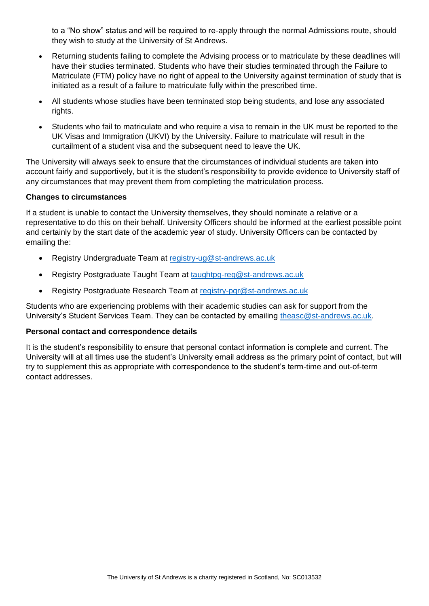to a "No show" status and will be required to re-apply through the normal Admissions route, should they wish to study at the University of St Andrews.

- Returning students failing to complete the Advising process or to matriculate by these deadlines will have their studies terminated. Students who have their studies terminated through the Failure to Matriculate (FTM) policy have no right of appeal to the University against termination of study that is initiated as a result of a failure to matriculate fully within the prescribed time.
- All students whose studies have been terminated stop being students, and lose any associated rights.
- Students who fail to matriculate and who require a visa to remain in the UK must be reported to the UK Visas and Immigration (UKVI) by the University. Failure to matriculate will result in the curtailment of a student visa and the subsequent need to leave the UK.

The University will always seek to ensure that the circumstances of individual students are taken into account fairly and supportively, but it is the student's responsibility to provide evidence to University staff of any circumstances that may prevent them from completing the matriculation process.

## **Changes to circumstances**

If a student is unable to contact the University themselves, they should nominate a relative or a representative to do this on their behalf. University Officers should be informed at the earliest possible point and certainly by the start date of the academic year of study. University Officers can be contacted by emailing the:

- Registry Undergraduate Team at [registry-ug@st-andrews.ac.uk](mailto:registry-ug@st-andrews.ac.uk)
- Registry Postgraduate Taught Team at [taughtpg-reg@st-andrews.ac.uk](mailto:taughtpg-reg@st-andrews.ac.uk)
- Registry Postgraduate Research Team at [registry-pgr@st-andrews.ac.uk](mailto:registry-pgr@st-andrews.ac.uk)

Students who are experiencing problems with their academic studies can ask for support from the University's Student Services Team. They can be contacted by emailing [theasc@st-andrews.ac.uk.](mailto:theasc@st-andrews.ac.uk)

## **Personal contact and correspondence details**

It is the student's responsibility to ensure that personal contact information is complete and current. The University will at all times use the student's University email address as the primary point of contact, but will try to supplement this as appropriate with correspondence to the student's term-time and out-of-term contact addresses.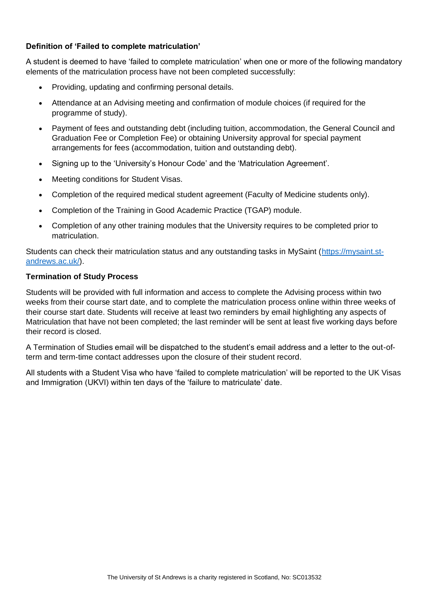# **Definition of 'Failed to complete matriculation'**

A student is deemed to have 'failed to complete matriculation' when one or more of the following mandatory elements of the matriculation process have not been completed successfully:

- Providing, updating and confirming personal details.
- Attendance at an Advising meeting and confirmation of module choices (if required for the programme of study).
- Payment of fees and outstanding debt (including tuition, accommodation, the General Council and Graduation Fee or Completion Fee) or obtaining University approval for special payment arrangements for fees (accommodation, tuition and outstanding debt).
- Signing up to the 'University's Honour Code' and the 'Matriculation Agreement'.
- Meeting conditions for Student Visas.
- Completion of the required medical student agreement (Faculty of Medicine students only).
- Completion of the Training in Good Academic Practice (TGAP) module.
- Completion of any other training modules that the University requires to be completed prior to matriculation.

Students can check their matriculation status and any outstanding tasks in MySaint [\(https://mysaint.st](https://mysaint.st-andrews.ac.uk/)[andrews.ac.uk/\)](https://mysaint.st-andrews.ac.uk/).

#### **Termination of Study Process**

Students will be provided with full information and access to complete the Advising process within two weeks from their course start date, and to complete the matriculation process online within three weeks of their course start date. Students will receive at least two reminders by email highlighting any aspects of Matriculation that have not been completed; the last reminder will be sent at least five working days before their record is closed.

A Termination of Studies email will be dispatched to the student's email address and a letter to the out-ofterm and term-time contact addresses upon the closure of their student record.

All students with a Student Visa who have 'failed to complete matriculation' will be reported to the UK Visas and Immigration (UKVI) within ten days of the 'failure to matriculate' date.